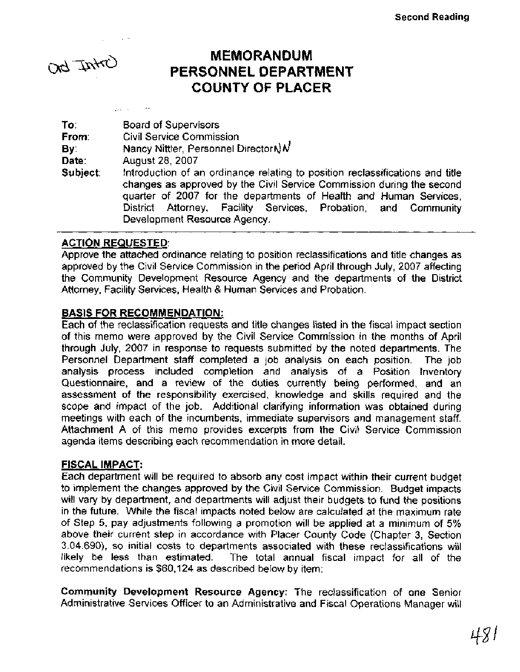# **MEMORANDUM**<br>PERSONNEL DEPARTMENT بالمجلس **COUNTY OF PLACER**

To: Board of Supervisors From: Civil Service Commission **By: Nancy Nittler, Personnel Directorn) N**<br>**Date:** August 28, 2007 August 28, 2007 Subject: Introduction of an ordinance relating to position reclassifications and title changes as approved by the Civil Service Commission during the second quarter of 2007 for the departments of Health and Human Services, District Attorney, Facility Services, Probation, and Community Development Resource Agency.

## ACTION REQUESTED:

Approve the attached ordinance relating to position reclassifications and title changes as approved by the Civil Service Commission in the period April through July, 2007 affecting the Community Development Resource Agency and the departments of the District Attorney, Facility Services, Health & Human Services and Probation.

#### BASIS FOR RECOMMENDATION:

Each of the reclassification requests and title changes listed in the fiscal impact section of this memo were approved by the Civil Service Commission in the months of April through July, 2007 in response to requests submitted by the noted departments. The Personnel Department staff completed a job analysis on each position. The job analysis process included completion and analysis of a Position Inventory Questionnaire, and a review of the duties currently being performed, and an assessment of the responsibility exercised, knowledge and skills required and the scope and impact of the job. Additional clarifying information was obtained during meetings with each of the incumbents, immediate supervisors and management staff. Attachment A of this memo provides excerpts from the Civil Service Commission agenda items describing each recommendation in more detail.

#### FISCAL **IMPACT:**

Each department will be required to absorb any cost impact within their current budget to implement the changes approved by the Civil Service Commission. Budget impacts will vary by department, and departments will adjust their budgets to fund the positions in the future. While the fiscal impacts noted below are calculated at the maximum rate of Step 5, pay adjustments following a promotion will be applied at a minimum of 5% above their current step in accordance with Placer County Code (Chapter 3, Section 3.04.690), so initial costs to departments associated with these reclassifications will likely be less than estimated. The total annual fiscal impact for all of the recommendations is \$60,124 as described below by item:

Community Development Resource Agency: The reclassification of one Senior Administrative Services Officer to an Administrative and Fiscal Operations Manager will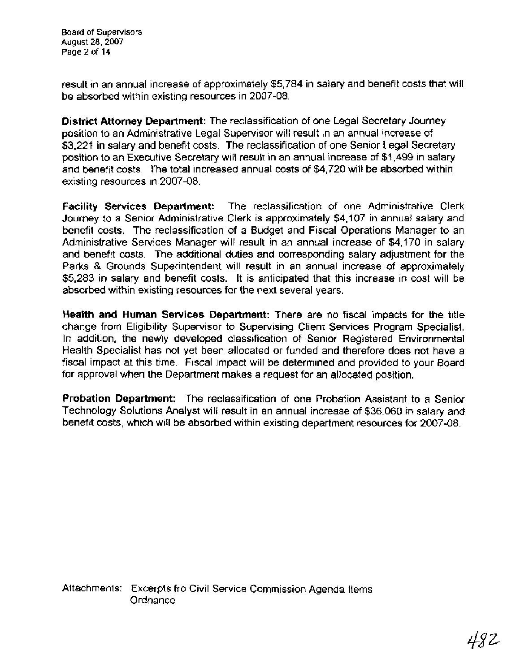Board of Supervisors August 28,2007 Page 2 of 14

result in an annual increase of approximately \$5,784 in salary and benefit costs that will be absorbed within existing resources in 2007-08.

**District Attorney Department:** The reclassification of one Legal Secretary Journey position to an Administrative Legal Supervisor will result in an annual increase of \$3,221 in salary and benefit costs. The reclassification of one Senior Legal Secretary position to an Executive Secretary will result in an annual increase of \$1,499 in salary and benefit costs. The total increased annual costs of \$4,720 will be absorbed within existing resources in 2007-08.

**Facility Services Department:** The reclassification of one Administrative Clerk Journey to a Senior Administrative Clerk is approximately \$4,107 in annual salary and benefit costs. The reclassification of a Budget and Fiscal Operations Manager to an Administrative Services Manager will result in an annual increase of \$4,170 in salary and benefit costs. The additional duties and corresponding salary adjustment for the Parks & Grounds Superintendent will result in an annual increase of approximately \$5,283 in salary and benefit costs. It is anticipated that this increase in cost will be absorbed within existing resources for the next several years.

**Health and Human Services Department:** There are no fiscal impacts for the title change from Eligibility Supervisor to Supervising Client Services Program Specialist. In addition, the newly developed classification of Senior Registered Environmental Health Specialist has not yet been allocated or funded and therefore does not have a fiscal impact at this time. Fiscal impact will be determined and provided to your Board for approval when the Department makes a request for an allocated position.

**Probation Department:** The reclassification of one Probation Assistant to a Senior Technology Solutions Analyst will result in an annual increase of \$36,060 in salary and benefit costs, which will **be** absorbed within existing department resources for 2007-08.

Attachments: Excerpts fro Civil Service Commission Agenda Items **Ordnance**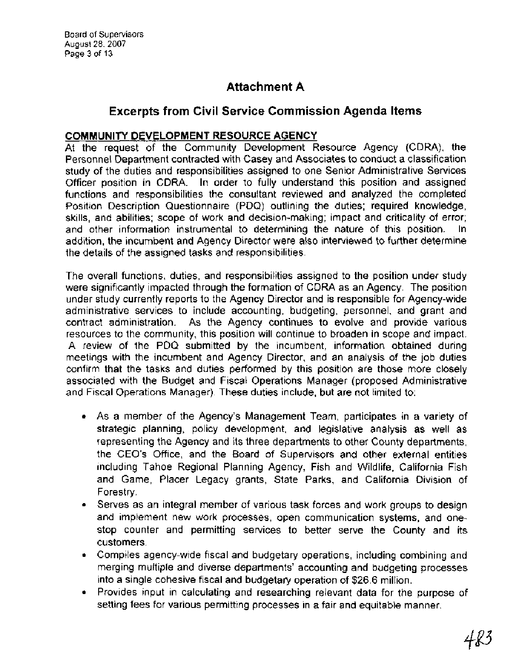Board of Supervisors August 28,2007 Page 3 of 13

# **Attachment A**

# **Excerpts from Civil Service Commission Agenda Items**

# **COMMUNITY DEVELOPMENT RESOURCE AGENCY**

At the request of the Community Development Resource Agency (CDRA), the Personnel Department contracted with Casey and Associates to conduct a classification study of the duties and responsibilities assigned to one Senior Administrative Services Officer position in CDRA. In order to fully understand this position and assigned functions and responsibilities the consultant reviewed and analyzed the completed Position Description Questionnaire (PDQ) outlining the duties; required knowledge, skills, and abilities; scope of work and decision-making; impact and criticality of error; and other information instrumental to determining the nature of this position. In addition, the incumbent and Agency Director were also interviewed to further determine the details of the assigned tasks and responsibilities.

The overall functions, duties, and responsibilities assigned to the position under study were significantly impacted through the formation of CDRA as an Agency. The position under study currently reports to the Agency Director and is responsible for Agency-wide administrative services to include accounting, budgeting, personnel, and grant and contract administration. As the Agency continues to evolve and provide various resources to the community, this position will continue to broaden in scope and impact. A review of the PDQ submitted by the incumbent, information obtained during meetings with the incumbent and Agency Director, and an analysis of the job duties confirm that the tasks and duties performed by this position are those more closely associated with the Budget and Fiscal Operations Manager (proposed Administrative and Fiscal Operations Manager). These duties include, but are not limited to:

- As a member of the Agency's Management Team, participates in a variety of strategic planning, policy development, and legislative analysis as well as representing the Agency and its three departments to other County departments, the CEO's Office, and the Board of Supervisors and other external entities including Tahoe Regional Planning Agency, Fish and Wildlife, California Fish and Game, Placer Legacy grants, State Parks, and California Division of Forestry.
- Serves as an integral member of various task forces and work groups to design and implement new work processes, open communication systems, and onestop counter and permitting services to better serve the County and its customers.
- Compiles agency-wide fiscal and budgetary operations, including combining and merging multiple and diverse departments' accounting and budgeting processes into a single cohesive fiscal and budgetary operation of \$26.6 million.
- Provides input in calculating and researching relevant data for the purpose of setting fees for various permitting processes in a fair and equitable manner.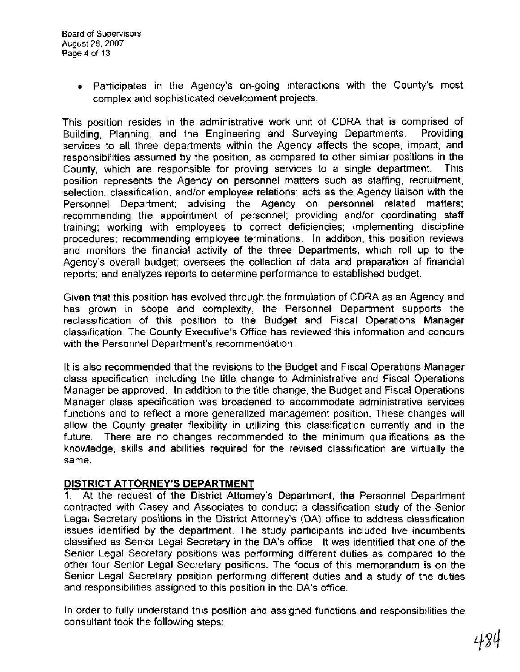Participates in the Agency's on-going interactions with the County's most complex and sophisticated development projects.

This position resides in the administrative work unit of CDRA that is comprised of Building, Planning, and the Engineering and Surveying Departments. Providing services to all three departments within the Agency affects the scope, impact, and responsibilities assumed by the position, as compared to other similar positions in the County, which are responsible for proving services to a single department. This position represents the Agency on personnel matters such as staffing, recruitment, selection, classification, and/or employee relations; acts as the Agency liaison with the Personnel Department; advising the Agency on personnel related matters; recommending the appointment of personnel; providing and/or coordinating staff training; working with employees to correct deficiencies; implementing discipline procedures; recommending employee terminations. In addition, this position reviews and monitors the financial activity of the three Departments, which roll up to the Agency's overall budget; oversees the collection of data and preparation of financial reports; and analyzes reports to determine performance to established budget.

Given that this position has evolved through the formulation of CDRA as an Agency and has grown in scope and complexity, the Personnel Department supports the reclassification of this position to the Budget and Fiscal Operations Manager classification. The County Executive's Office has reviewed this information and concurs with the Personnel Department's recommendation.

It is also recommended that the revisions to the Budget and Fiscal Operations Manager class specification, including the title change to Administrative and Fiscal Operations Manager be approved. In addition to the title change, the Budget and Fiscal Operations Manager class specification was broadened to accommodate administrative services functions and to reflect a more generalized management position. These changes will allow the County greater flexibility in utilizing this classification currently and in the future. There are no changes recommended to the minimum qualifications as the knowledge, skills and abilities required for the revised classification are virtually the same.

#### **DISTRICT ATTORNEY'S DEPARTMENT**

1. At the request of the District Attorney's Department, the Personnel Department contracted with Casey and Associates to conduct a classification study of the Senior Legal Secretary positions in the District Attorney's (DA) office to address classification issues identified by the department. The study participants included five incumbents classified as Senior Legal Secretary in the DA's office. It was identified that one of the Senior Legal Secretary positions was performing different duties as compared to the other four Senior Legal Secretary positions. The focus of this memorandum is on the Senior Legal Secretary position performing different duties and a study of the duties and responsibilities assigned to this position in the DA's office.

In order to fully understand this position and assigned functions and responsibilities the consultant took the following steps: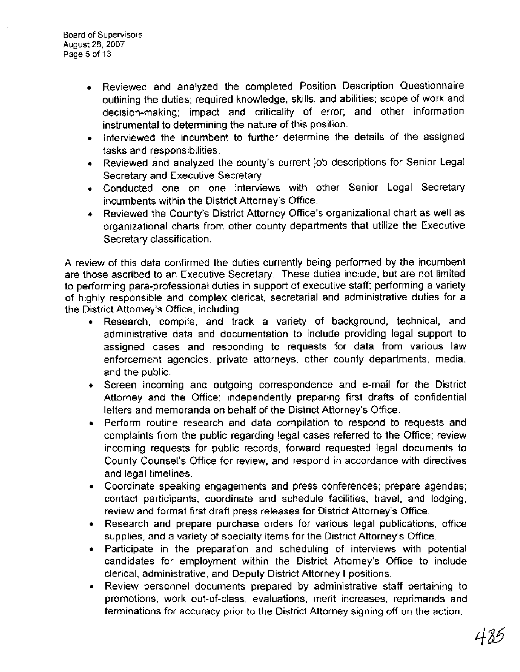- Reviewed and analyzed the completed Position Description Questionnaire outlining the duties; required knowledge, skills, and abilities; scope of work and decision-making; impact and criticality of error; and other information instrumental to determining the nature of this position.
- $\bullet$  Interviewed the incumbent to further determine the details of the assigned tasks and responsibilities.
- Reviewed and analyzed the county's current job descriptions for Senior Legal Secretary and Executive Secretary.
- Conducted one on one interviews with other Senior Legal Secretary incumbents within the District Attorney's Office.
- Reviewed the County's District Attorney Office's organizational chart as well as organizational charts from other county departments that utilize the Executive Secretary classification.

A review of this data confirmed the duties currently being performed by the incumbent are those ascribed to an Executive Secretary. These duties include, but are not limited to performing para-professional duties in support of executive staff; performing a variety of highly responsible and complex clerical, secretarial and administrative duties for a the District Attorney's Office, including:

- Research, compile, and track a variety of background, technical, and administrative data and documentation to include providing legal support to assigned cases and responding to requests for data from various law enforcement agencies, private attorneys, other county departments, media, and the public.
- Screen incoming and outgoing correspondence and e-mail for the District Attorney and the Office; independently preparing first drafts of confidential letters and memoranda on behalf of the District Attorney's Office.
- Perform routine research and data compilation to respond to requests and complaints from the public regarding legal cases referred to the Office; review incoming requests for public records, forward requested legal documents to County Counsel's Office for review, and respond in accordance with directives and legal timelines.
- Coordinate speaking engagements and press conferences; prepare agendas; contact participants; coordinate and schedule facilities, travel, and lodging; review and format first draft press releases for District Attorney's Office.
- Research and prepare purchase orders for various legal publications, office supplies, and a variety of specialty items for the District Attorney's Office.
- Participate in the preparation and scheduling of interviews with potential candidates for employment within the District Attorney's Office to include clerical, administrative, and Deputy District Attorney I positions.
- Review personnel documents prepared by administrative staff pertaining to promotions, work out-of-class, evaluations, merit increases, reprimands and terminations for accuracy prior to the District Attorney signing off on the action.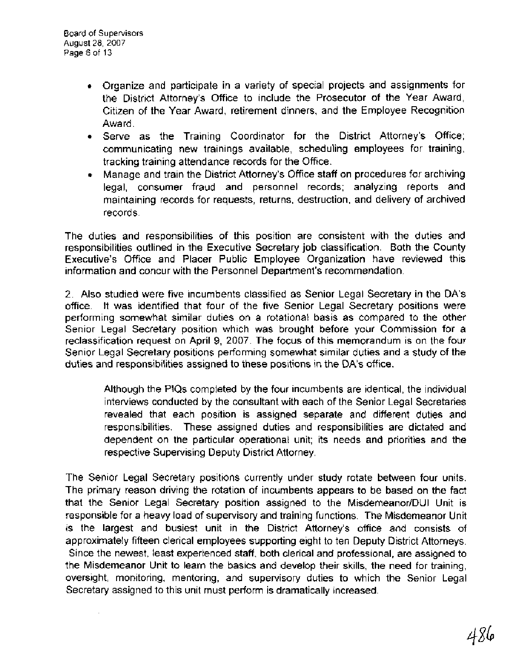- Organize and participate in a variety of special projects and assignments for the District Attorney's Office to include the Prosecutor of the Year Award, Citizen of the Year Award, retirement dinners, and the Employee Recognition Award.
- Serve as the Training Coordinator for the District Attorney's Office; communicating new trainings available, scheduling employees for training, tracking training attendance records for the Office.
- Manage and train the District Attorney's Office staff on procedures for archiving  $\bullet$ legal, consumer fraud and personnel records; analyzing reports and maintaining records for requests, returns, destruction, and delivery of archived records.

The duties and responsibilities of this position are consistent with the duties and responsibilities outlined in the Executive Secretary job classification. Both the County Executive's Office and Placer Public Employee Organization have reviewed this information and concur with the Personnel Department's recommendation.

2. Also studied were five incumbents classified as Senior Legal Secretary in the DA's office. It was identified that four of the five Senior Legal Secretary positions were performing somewhat similar duties on a rotational basis as compared to the other Senior Legal Secretary position which was brought before your Commission for a reclassification request on April 9, 2007. The focus of this memorandum is on the four Senior Legal Secretary positions performing somewhat similar duties and a study of the duties and responsibilities assigned to these positions in the DA's office.

Although the PlQs completed by the four incumbents are identical, the individual interviews conducted by the consultant with each of the Senior Legal Secretaries revealed that each position is assigned separate and different duties and responsibilities. These assigned duties and responsibilities are dictated and dependent on the particular operational unit; its needs and priorities and the respective Supervising Deputy District Attorney.

The Senior Legal Secretary positions currently under study rotate between four units. The primary reason driving the rotation of incumbents appears to be based on the fact that the Senior Legal Secretary position assigned to the Misdemeanor/DUI Unit is responsible for a heavy load of supervisory and training functions. The Misdemeanor Unit is the largest and busiest unit in the District Attorney's office and consists of approximately fifteen clerical employees supporting eight to ten Deputy District Attorneys. Since the newest, least experienced staff, both clerical and professional, are assigned to the Misdemeanor Unit to learn the basics and develop their skills, the need for training, oversight, monitoring, mentoring, and supervisory duties to which the Senior Legal Secretary assigned to this unit must perform is dramatically increased.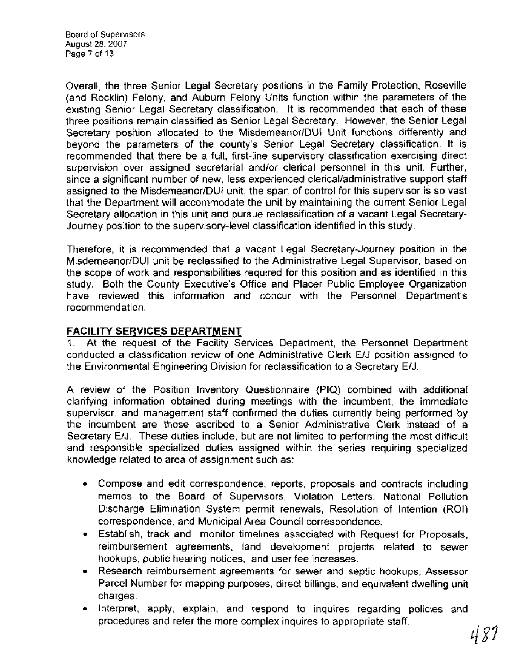Board of Supervisors August 28,2007 Page 7 of 13

Overall, the three Senior Legal Secretary positions in the Family Protection, Roseville (and Rocklin) Felony, and Auburn Felony Units function within the parameters of the existing Senior Legal Secretary classification. It is recommended that each of these three positions remain classified as Senior Legal Secretary. However, the Senior Legal Secretary position allocated to the Misdemeanor/DUI Unit functions differently and beyond the parameters of the county's Senior Legal Secretary classification. It is recommended that there be a full, first-line supervisory classification exercising direct supervision over assigned secretarial and/or clerical personnel in this unit. Further, since a significant number of new, less experienced clerical/administrative support staff assigned to the Misdemeanor/DUI unit, the span of control for this supervisor is so vast that the Department will accommodate the unit by maintaining the current Senior Legal Secretary allocation in this unit and pursue reclassification of a vacant Legal Secretary-Journey position to the supervisory-level classification identified in this study.

Therefore, it is recommended that a vacant Legal Secretary-Journey position in the Misdemeanor/DUI unit be reclassified to the Administrative Legal Supervisor, based on the scope of work and responsibilities required for this position and as identified in this study. Both the County Executive's Office and Placer Public Employee Organization have reviewed this information and concur with the Personnel Department's recommendation.

# **FACILITY SERVICES DEPARTMENT**

1. At the request of the Facility Services Department, the Personnel Department conducted a classification review of one Administrative Clerk EIJ position assigned to the Environmental Engineering Division for reclassification to a Secretary E/J.

A review of the Position Inventory Questionnaire (PIQ) combined with additional clarifying information obtained during meetings with the incumbent, the immediate supervisor, and management staff confirmed the duties currently being performed by the incumbent are those ascribed to a Senior Administrative Clerk instead of a Secretary E/J. These duties include, but are not limited to performing the most difficult and responsible specialized duties assigned within the series requiring specialized knowledge related to area of assignment such as:

- Compose and edit correspondence, reports, proposals and contracts including memos to the Board of Supervisors, Violation Letters, National Pollution Discharge Elimination System permit renewals, Resolution of Intention (ROI) correspondence, and Municipal Area Council correspondence.
- Establish, track and monitor timelines associated with Request for Proposals, reimbursement agreements, land development projects related to sewer hookups, public hearing notices, and user fee increases.
- Research reimbursement agreements for sewer and septic hookups, Assessor Parcel Number for mapping purposes, direct billings, and equivalent dwelling unit charges.
- Interpret, apply, explain, and respond to inquires regarding policies and procedures and refer the more complex inquires to appropriate staff.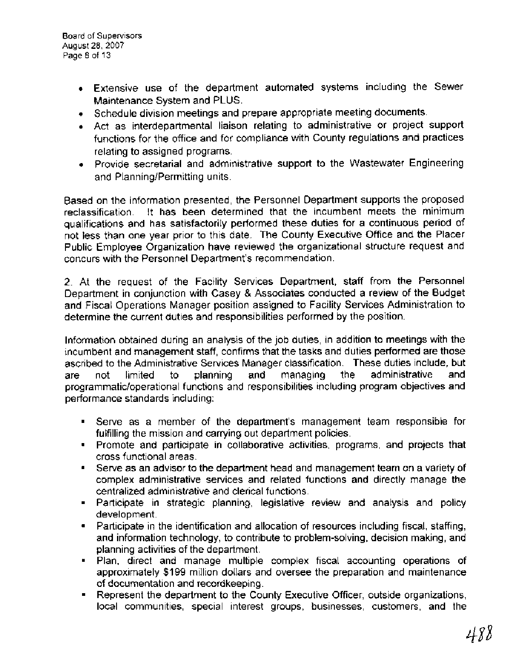- Extensive use of the department automated systems including the Sewer Maintenance System and PLUS.
- Schedule division meetings and prepare appropriate meeting documents.
- Act as interdepartmental liaison relating to administrative or project support functions for the office and for compliance with County regulations and practices relating to assigned programs.
- Provide secretarial and administrative support to the Wastewater Engineering and Planning/Permitting units.

Based on the information presented, the Personnel Department supports the proposed reclassification. It has been determined that the incumbent meets the minimum qualifications and has satisfactorily performed these duties for a continuous period of not less than one year prior to this date. The County Executive Office and the Placer Public Employee Organization have reviewed the organizational structure request and concurs with the Personnel Department's recommendation.

2. At the request of the Facility Services Department, staff from the Personnel Department in conjunction with Casey & Associates conducted a review of the Budget and Fiscal Operations Manager position assigned to Facility Services Administration to determine the current duties and responsibilities performed by the position.

Information obtained during an analysis of the job duties, in addition to meetings with the incumbent and management staff, confirms that the tasks and duties performed are those ascribed to the Administrative Services Manager classification. These duties include, but are not limited to planning and managing the administrative and programmaticloperational functions and responsibilities including program objectives and performance standards including:

- Serve as a member of the department's management team responsible for fulfilling the mission and carrying out department policies.
- Promote and participate in collaborative activities, programs, and projects that cross functional areas.
- $\bullet$ Serve as an advisor to the department head and management team on a variety of complex administrative services and related functions and directly manage the centralized administrative and clerical functions.
- Participate in strategic planning, legislative review and analysis and policy development.
- Participate in the identification and allocation of resources including fiscal, staffing,  $\bullet$ and information technology, to contribute to problem-solving, decision making, and planning activities of the department.
- Plan, direct and manage multiple complex fiscal accounting operations of  $\blacksquare$ approximately \$199 million dollars and oversee the preparation and maintenance of documentation and recordkeeping.
- Represent the department to the County Executive Officer, outside organizations,  $\blacksquare$ local communities, special interest groups, businesses, customers, and the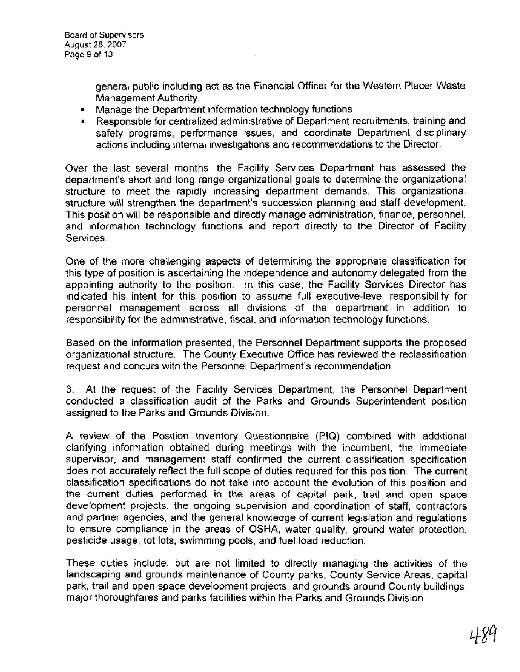general public including act as the Financial Officer for the Western Placer Waste Management Authority.

- Manage the Department information technology functions.
- Responsible for centralized administrative of Department recruitments, training and safety programs, performance issues, and coordinate Department disciplinary actions including internal investigations and recommendations to the Director.

Over the last several months, the Facility Services Department has assessed the department's short and long range organizational goals to determine the organizational structure to meet the rapidly increasing department demands. This organizational structure will strengthen the department's succession planning and staff development. This position will be responsible and directly manage administration, finance, personnel, and information technology functions and report directly to the Director of Facility Services.

One of the more challenging aspects of determining the appropriate classification for this type of position is ascertaining the independence and autonomy delegated from the appointing authority to the position. In this case, the Facility Services Director has indicated his intent for this position to assume full executive-level responsibility for personnel management across all divisions of the department in addition to responsibility for the administrative, fiscal, and information technology functions.

Based on the information presented, the Personnel Department supports the proposed organizational structure. The County Executive Office has reviewed the reclassification request and concurs with the Personnel Department's recommendation.

3. At the request of the Facility Services Department, the Personnel Department conducted a classification audit of the Parks and Grounds Superintendent position assigned to the Parks and Grounds Division.

A review of the Position Inventory Questionnaire (PIQ) combined with additional clarifying information obtained during meetings with the incumbent, the immediate supervisor, and management staff confirmed the current classification specification does not accurately reflect the full scope of duties required for this position. The current classification specifications do not take into account the evolution of this position and the current duties performed in the areas of capital park, trail and open space development projects, the ongoing supervision and coordination of staff, contractors and partner agencies, and the general knowledge of current legislation and regulations to ensure compliance in the areas of OSHA, water quality, ground water protection, pesticide usage, tot lots, swimming pools, and fuel load reduction.

These duties include, but are not limited to directly managing the activities of the landscaping and grounds maintenance of County parks, County Service Areas, capital park, trail and open space development projects, and grounds around County buildings, major thoroughfares and parks facilities within the Parks and Grounds Division.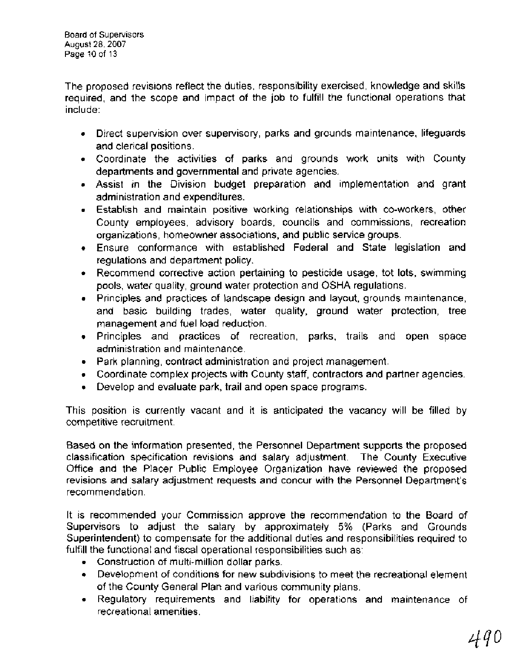The proposed revisions reflect the duties, responsibility exercised, knowledge and skills required, and the scope and impact of the job to fulfill the functional operations that include:

- Direct supervision over supervisory, parks and grounds maintenance, lifeguards and clerical positions.
- Coordinate the activities of parks and grounds work units with County departments and governmental and private agencies.
- Assist in the Division budget preparation and implementation and grant administration and expenditures.
- Establish and maintain positive working relationships with co-workers, other County employees, advisory boards, councils and commissions, recreation organizations, homeowner associations, and public service groups.
- Ensure conformance with established Federal and State legislation and regulations and department policy.
- Recommend corrective action pertaining to pesticide usage, tot lots, swimming  $\bullet$ pools, water quality, ground water protection and OSHA regulations.
- Principles and practices of landscape design and layout, grounds maintenance, and basic building trades, water quality, ground water protection, tree management and fuel load reduction.
- Principles and practices of recreation, parks, trails and open space administration and maintenance.
- Park planning, contract administration and project management.
- Coordinate complex projects with County staff, contractors and partner agencies.
- Develop and evaluate park, trail and open space programs.

This position is currently vacant and it is anticipated the vacancy will be filled by competitive recruitment.

Based on the information presented, the Personnel Department supports the proposed classification specification revisions and salary adjustment. The County Executive Office and the Placer Public Employee Organization have reviewed the proposed revisions and salary adjustment requests and concur with the Personnel Department's recommendation.

It is recommended your Commission approve the recommendation to the Board of Supervisors to adjust the salary by approximately 5% (Parks and Grounds Superintendent) to compensate for the additional duties and responsibilities required to fulfill the functional and fiscal operational responsibilities such as:

- Construction of multi-million dollar parks.
- Development of conditions for new subdivisions to meet the recreational element of the County General Plan and various community plans.
- Regulatory requirements and liability for operations and maintenance of recreational amenities.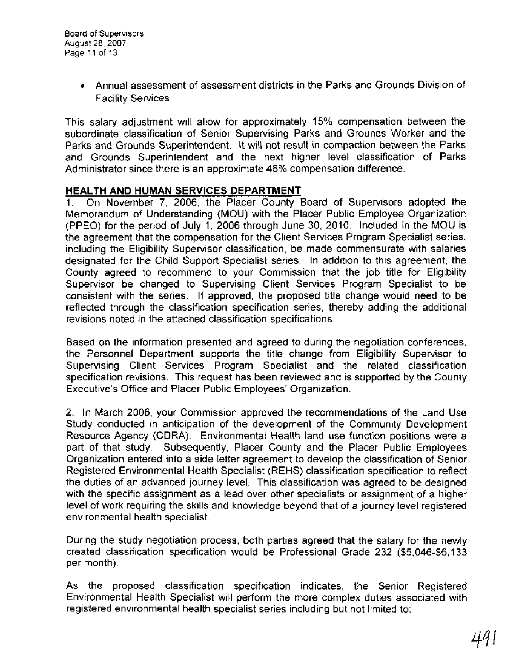Annual assessment of assessment districts in the Parks and Grounds Division of Facility Services.

This salary adjustment will allow for approximately 15% compensation between the subordinate classification of Senior Supervising Parks and Grounds Worker and the Parks and Grounds Superintendent. It will not result in compaction between the Parks and Grounds Superintendent and the next higher level classification of Parks Administrator since there is an approximate 46% compensation difference.

#### **HEALTH AND HUMAN SERVICES DEPARTMENT**

**1.** On November 7, 2006, the Placer County Board of Supervisors adopted the Memorandum of Understanding (MOU) with the Placer Public Employee Organization (PPEO) for the period of July I, 2006 through June 30, 2010. Included in the MOU is the agreement that the compensation for the Client Services Program Specialist series, including the Eligibility Supervisor classification, be made commensurate with salaries designated for the Child Support Specialist series. In addition to this agreement, the County agreed to recommend to your Commission that the job title for Eligibility Supervisor be changed to Supervising Client Services Program Specialist to be consistent with the series. If approved, the proposed title change would need to be reflected through the classification specification series, thereby adding the additional revisions noted in the attached classification specifications.

Based on the information presented and agreed to during the negotiation conferences, the Personnel Department supports the title change from Eligibility Supervisor to Supervising Client Services Program Specialist and the related classification specification revisions. This request has been reviewed and is supported by the County Executive's Office and Placer Public Employees' Organization.

2. In March 2006, your Commission approved the recommendations of the Land Use Study conducted in anticipation of the development of the Community Development Resource Agency (CDRA). Environmental Health land use function positions were a part of that study. Subsequently, Placer County and the Placer Public Employees Organization entered into a side letter agreement to develop the classification of Senior Registered Environmental Health Specialist (REHS) classification specification to reflect the duties of an advanced journey level. This classification was agreed to be designed with the specific assignment as a lead over other specialists or assignment of a higher level of work requiring the skills and knowledge beyond that of a journey level registered environmental health specialist.

During the study negotiation process, both parties agreed that the salary for the newly created classification specification would be Professional Grade 232 (\$5,046-\$6,133 per month).

As the proposed classification specification indicates, the Senior Registered Environmental Health Specialist will perform the more complex duties associated with registered environmental health specialist series including but not limited to: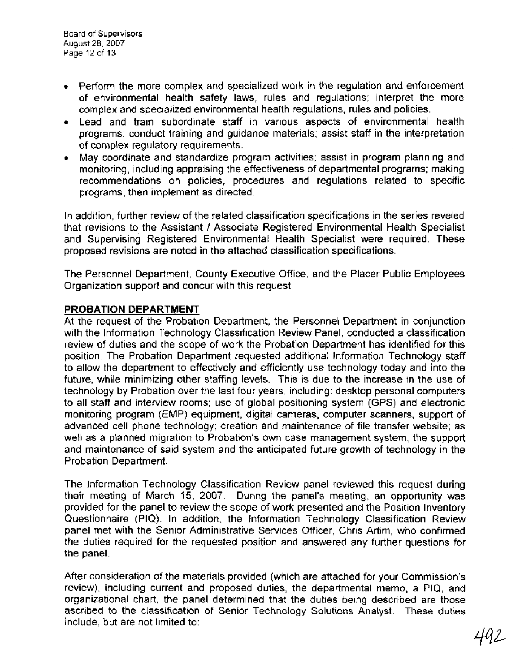- Perform the more complex and specialized work in the regulation and enforcement of environmental health safety laws, rules and regulations; interpret the more complex and specialized environmental health regulations, rules and policies.
- Lead and train subordinate staff in various aspects of environmental health programs; conduct training and guidance materials; assist staff in the interpretation of complex regulatory requirements.
- May coordinate and standardize program activities; assist in program planning and monitoring, including appraising the effectiveness of departmental programs; making recommendations on policies, procedures and regulations related to specific programs, then implement as directed.

In addition, further review of the related classification specifications in the series reveled that revisions to the Assistant 1 Associate Registered Environmental Health Specialist and Supervising Registered Environmental Health Specialist were required. These proposed revisions are noted in the attached classification specifications.

The Personnel Department, County Executive Office, and the Placer Public Employees Organization support and concur with this request.

## **PROBATION DEPARTMENT**

At the request of the Probation Department, the Personnel Department in conjunction with the lnformation Technology Classification Review Panel, conducted a classification review of duties and the scope of work the Probation Department has identified for this position. The Probation Department requested additional lnformation Technology staff to allow the department to effectively and efficiently use technology today and into the future, while minimizing other staffing levels. This is due to the increase in the use of technology by Probation over the last four years, including: desktop personal computers to all staff and interview rooms; use of global positioning system (GPS) and electronic monitoring program (EMP) equipment, digital cameras, computer scanners, support of advanced cell phone technology; creation and maintenance of file transfer website; as well as a planned migration to Probation's own case management system, the support and maintenance of said system and the anticipated future growth of technology in the Probation Department.

The lnformation Technology Classification Review panel reviewed this request during their meeting of March 15, 2007. During the panel's meeting, an opportunity was provided for the panel to review the scope of work presented and the Position Inventory Questionnaire (PIQ). In addition, the lnformation Technology Classification Review panel met with the Senior Administrative Services Officer, Chris Artim, who confirmed the duties required for the requested position and answered any further questions for the panel.

After consideration of the materials provided (which are attached for your Commission's review), including current and proposed duties, the departmental memo, a PIQ, and organizational chart, the panel determined that the duties being described are those ascribed to the classification of Senior Technology Solutions Analyst. These duties include. but are not limited to: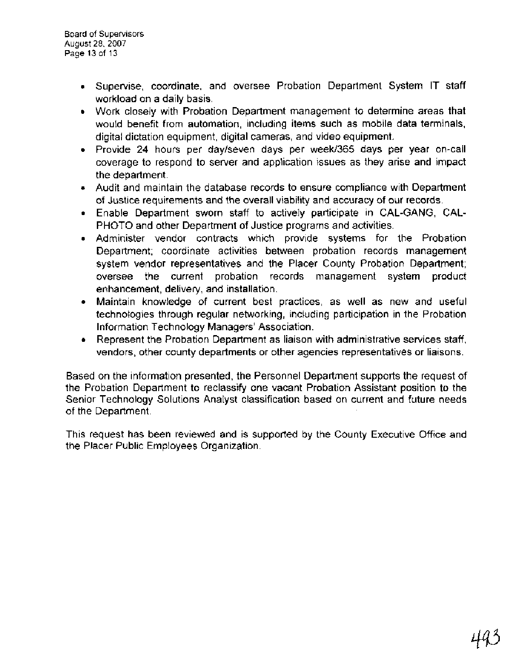- Supervise, coordinate, and oversee Probation Department System IT staff workload on a daily basis.
- Work closely with Probation Department management to determine areas that would benefit from automation, including items such as mobile data terminals, digital dictation equipment, digital cameras, and video equipment.
- Provide 24 hours per daylseven days per week1365 days per year on-call coverage to respond to server and application issues as they arise and impact the department.
- Audit and maintain the database records to ensure compliance with Department of Justice requirements and the overall viability and accuracy of our records.
- Enable Department sworn staff to actively participate in CAL-GANG, CAL-PHOTO and other Department of Justice programs and activities.
- Administer vendor contracts which provide systems for the Probation Department; coordinate activities between probation records management system vendor representatives and the Placer County Probation Department; oversee the current probation records management system product enhancement, delivery, and installation.
- Maintain knowledge of current best practices, as well as new and useful  $\bullet$ technologies through regular networking, including participation in the Probation Information Technology Managers' Association.
- Represent the Probation Department as liaison with administrative services staff,  $\bullet$ vendors, other county departments or other agencies representatives or liaisons.

Based on the information presented, the Personnel Department supports the request of the Probation Department to reclassify one vacant Probation Assistant position to the Senior Technology Solutions Analyst classification based on current and future needs of the Department.

This request has been reviewed and is supported by the County Executive Office and the Placer Public Employees Organization.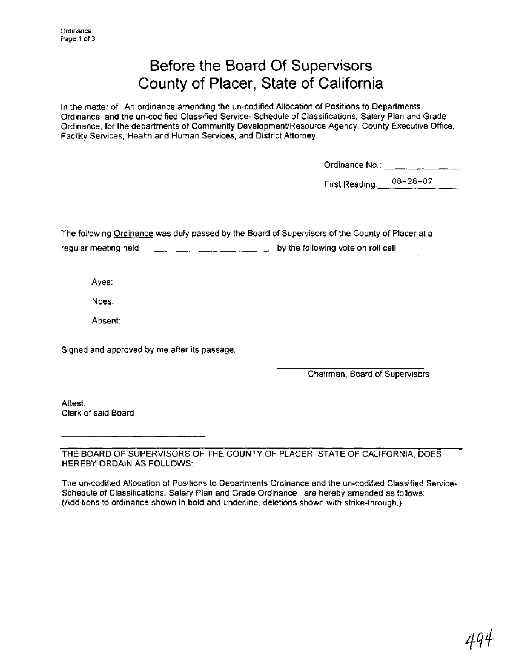# Before the Board Of Supervisors County of Placer, State of California

In the matter of: An ordinance amending the un-codified Allocation of Positions to Departments Ordinance and the un-codified Classified Service- Schedule of Classifications, Salary Plan and Grade Ordinance, for the departments of Community DevelopmentlResource Agency, County Executive Office, Facility Services, Health and Human Services, and District Attorney.

| Ordinance No∴ |  |
|---------------|--|
|               |  |
|               |  |

First Reading: 08-28-07

The following Ordinance was duly passed by the Board of Supervisors of the County of Placer at a

regular meeting held  $\begin{array}{ccc} - & \ldots & - & \end{array}$  by the following vote on roll call:

Ayes:

Noes:

Absent:

Signed and approved by me after its passage.

Chairman, Board of Supervisors

Attest: Clerk of said Board

THE BOARD OF SUPERVISORS OF THE COUNTY OF PLACER, STATE OF CALIFORNIA, DOES HEREBY ORDAIN AS FOLLOWS:

The un-codified Allocation of Positions to Departments Ordinance and the un-codified Classified Service-Schedule of Classifications, Salary Plan and Grade Ordinance are hereby amended as follows: (Additions to ordinance shown in bold and underline, deletions shown with strike-through.)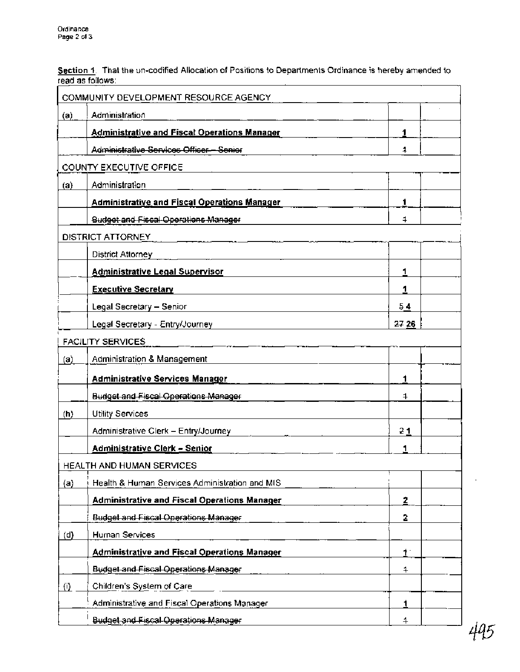**Section 1.** That the un-codified Allocation of Positions to Departments Ordinance is hereby amended to read as follows:

|                                  | COMMUNITY DEVELOPMENT RESOURCE AGENCY               |                |  |  |
|----------------------------------|-----------------------------------------------------|----------------|--|--|
| (a)                              | Administration                                      |                |  |  |
|                                  | <b>Administrative and Fiscal Operations Manager</b> | 1              |  |  |
|                                  | Administrative Services Officer-Senier              | 4              |  |  |
|                                  | COUNTY EXECUTIVE OFFICE                             |                |  |  |
| (a)                              | Administration                                      |                |  |  |
|                                  | <b>Administrative and Fiscal Operations Manager</b> | 1              |  |  |
|                                  | <b>Budget and Fiscal Operations Manager</b>         | 1              |  |  |
|                                  | DISTRICT ATTORNEY                                   |                |  |  |
|                                  | <b>District Attorney</b>                            |                |  |  |
|                                  | <b>Administrative Legal Supervisor</b>              | 1              |  |  |
|                                  | <b>Executive Secretary</b>                          | 1              |  |  |
|                                  | Legal Secretary - Senior                            | 54             |  |  |
|                                  | Legal Secretary - Entry/Journey                     | 27 26          |  |  |
|                                  | FACILITY SERVICES                                   |                |  |  |
| (a)                              | Administration & Management                         |                |  |  |
|                                  | <b>Administrative Services Manager</b>              | 1              |  |  |
|                                  | <b>Budget and Fiscal Operations Manager</b>         | 4              |  |  |
| (h)                              | <b>Utility Services</b>                             |                |  |  |
|                                  | Administrative Clerk - Entry/Journey                | 21             |  |  |
|                                  | Administrative Clerk - Senior                       | 1              |  |  |
| <b>HEALTH AND HUMAN SERVICES</b> |                                                     |                |  |  |
| (a)                              | Health & Human Services Administration and MIS      |                |  |  |
|                                  | <b>Administrative and Fiscal Operations Manager</b> | 2              |  |  |
|                                  | <b>Budget and Fiscal Operations Manager</b>         | 2              |  |  |
| (d)                              | Human Services                                      |                |  |  |
|                                  | <b>Administrative and Fiscal Operations Manager</b> | $\mathbf{1}$   |  |  |
|                                  | <b>Budget and Fiscal Operations Manager</b>         | 4              |  |  |
| (i)                              | Children's System of Care                           |                |  |  |
|                                  | Administrative and Fiscal Operations Manager        | 1              |  |  |
|                                  | <b>Budget and Fiscal Operations Manager</b>         | $\overline{a}$ |  |  |